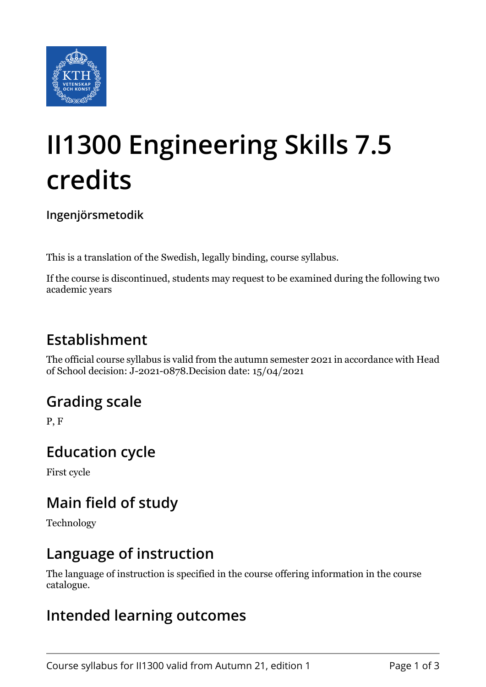

# **II1300 Engineering Skills 7.5 credits**

**Ingenjörsmetodik**

This is a translation of the Swedish, legally binding, course syllabus.

If the course is discontinued, students may request to be examined during the following two academic years

# **Establishment**

The official course syllabus is valid from the autumn semester 2021 in accordance with Head of School decision: J-2021-0878.Decision date: 15/04/2021

## **Grading scale**

P, F

#### **Education cycle**

First cycle

## **Main field of study**

Technology

#### **Language of instruction**

The language of instruction is specified in the course offering information in the course catalogue.

#### **Intended learning outcomes**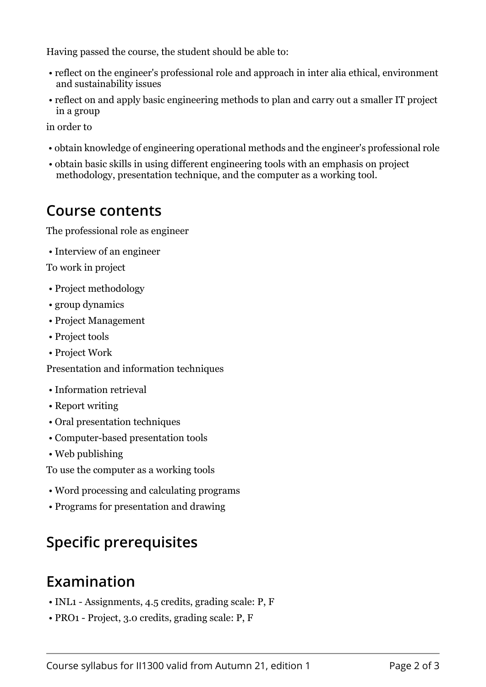Having passed the course, the student should be able to:

- reflect on the engineer's professional role and approach in inter alia ethical, environment and sustainability issues
- reflect on and apply basic engineering methods to plan and carry out a smaller IT project in a group

in order to

- obtain knowledge of engineering operational methods and the engineer's professional role
- obtain basic skills in using different engineering tools with an emphasis on project methodology, presentation technique, and the computer as a working tool.

#### **Course contents**

The professional role as engineer

• Interview of an engineer

To work in project

- Project methodology
- group dynamics
- Project Management
- Project tools
- Project Work

Presentation and information techniques

- Information retrieval
- Report writing
- Oral presentation techniques
- Computer-based presentation tools
- Web publishing

To use the computer as a working tools

- Word processing and calculating programs
- Programs for presentation and drawing

# **Specific prerequisites**

#### **Examination**

- INL1 Assignments, 4.5 credits, grading scale: P, F
- PRO1 Project, 3.0 credits, grading scale: P, F